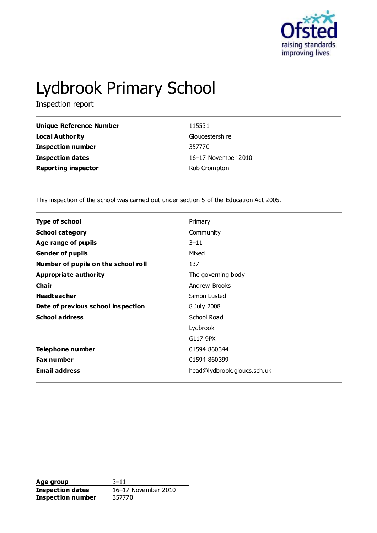

# Lydbrook Primary School

Inspection report

| <b>Unique Reference Number</b> | 115531              |
|--------------------------------|---------------------|
| <b>Local Authority</b>         | Gloucestershire     |
| Inspection number              | 357770              |
| <b>Inspection dates</b>        | 16-17 November 2010 |
| <b>Reporting inspector</b>     | Rob Crompton        |

This inspection of the school was carried out under section 5 of the Education Act 2005.

| <b>Type of school</b>               | Primary                     |
|-------------------------------------|-----------------------------|
| <b>School category</b>              | Community                   |
| Age range of pupils                 | $3 - 11$                    |
| <b>Gender of pupils</b>             | Mixed                       |
| Number of pupils on the school roll | 137                         |
| <b>Appropriate authority</b>        | The governing body          |
| Cha ir                              | Andrew Brooks               |
| <b>Headteacher</b>                  | Simon Lusted                |
| Date of previous school inspection  | 8 July 2008                 |
| <b>School address</b>               | School Road                 |
|                                     | Lydbrook                    |
|                                     | <b>GL17 9PX</b>             |
| Telephone number                    | 01594 860344                |
| <b>Fax number</b>                   | 01594 860399                |
| <b>Email address</b>                | head@lydbrook.gloucs.sch.uk |

**Age group** 3–11 **Inspection dates** 16–17 November 2010 **Inspection number** 357770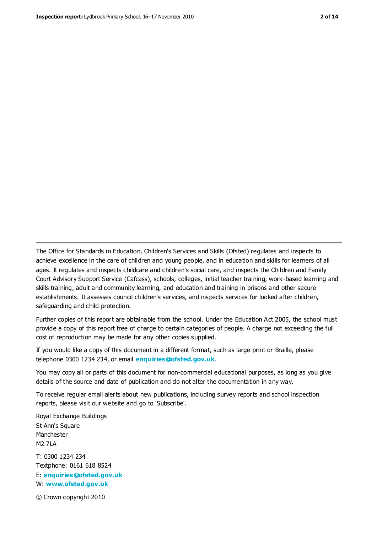The Office for Standards in Education, Children's Services and Skills (Ofsted) regulates and inspects to achieve excellence in the care of children and young people, and in education and skills for learners of all ages. It regulates and inspects childcare and children's social care, and inspects the Children and Family Court Advisory Support Service (Cafcass), schools, colleges, initial teacher training, work-based learning and skills training, adult and community learning, and education and training in prisons and other secure establishments. It assesses council children's services, and inspects services for looked after children, safeguarding and child protection.

Further copies of this report are obtainable from the school. Under the Education Act 2005, the school must provide a copy of this report free of charge to certain categories of people. A charge not exceeding the full cost of reproduction may be made for any other copies supplied.

If you would like a copy of this document in a different format, such as large print or Braille, please telephone 0300 1234 234, or email **[enquiries@ofsted.gov.uk](mailto:enquiries@ofsted.gov.uk)**.

You may copy all or parts of this document for non-commercial educational purposes, as long as you give details of the source and date of publication and do not alter the documentation in any way.

To receive regular email alerts about new publications, including survey reports and school inspection reports, please visit our website and go to 'Subscribe'.

Royal Exchange Buildings St Ann's Square Manchester M2 7LA T: 0300 1234 234 Textphone: 0161 618 8524 E: **[enquiries@ofsted.gov.uk](mailto:enquiries@ofsted.gov.uk)**

W: **[www.ofsted.gov.uk](http://www.ofsted.gov.uk/)**

© Crown copyright 2010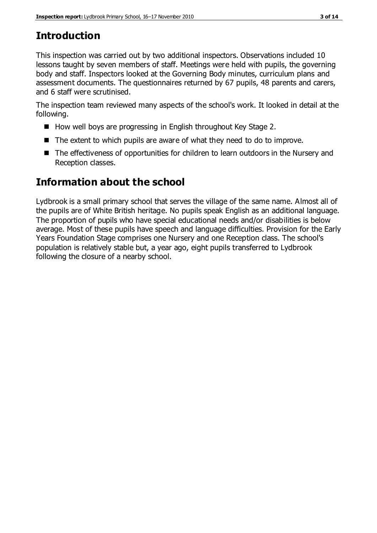# **Introduction**

This inspection was carried out by two additional inspectors. Observations included 10 lessons taught by seven members of staff. Meetings were held with pupils, the governing body and staff. Inspectors looked at the Governing Body minutes, curriculum plans and assessment documents. The questionnaires returned by 67 pupils, 48 parents and carers, and 6 staff were scrutinised.

The inspection team reviewed many aspects of the school's work. It looked in detail at the following.

- How well boys are progressing in English throughout Key Stage 2.
- The extent to which pupils are aware of what they need to do to improve.
- The effectiveness of opportunities for children to learn outdoors in the Nursery and Reception classes.

# **Information about the school**

Lydbrook is a small primary school that serves the village of the same name. Almost all of the pupils are of White British heritage. No pupils speak English as an additional language. The proportion of pupils who have special educational needs and/or disabilities is below average. Most of these pupils have speech and language difficulties. Provision for the Early Years Foundation Stage comprises one Nursery and one Reception class. The school's population is relatively stable but, a year ago, eight pupils transferred to Lydbrook following the closure of a nearby school.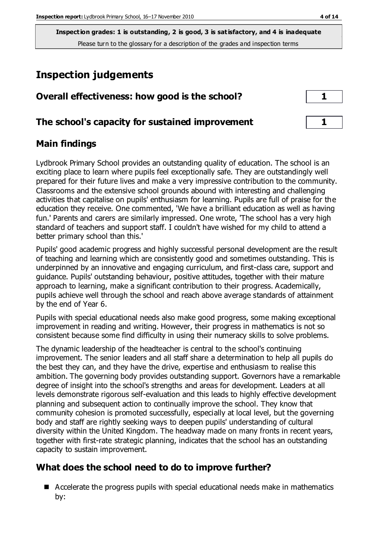# **Inspection judgements**

| Overall effectiveness: how good is the school?  |  |
|-------------------------------------------------|--|
| The school's capacity for sustained improvement |  |

## **Main findings**

Lydbrook Primary School provides an outstanding quality of education. The school is an exciting place to learn where pupils feel exceptionally safe. They are outstandingly well prepared for their future lives and make a very impressive contribution to the community. Classrooms and the extensive school grounds abound with interesting and challenging activities that capitalise on pupils' enthusiasm for learning. Pupils are full of praise for the education they receive. One commented, 'We have a brilliant education as well as having fun.' Parents and carers are similarly impressed. One wrote, 'The school has a very high standard of teachers and support staff. I couldn't have wished for my child to attend a better primary school than this.'

Pupils' good academic progress and highly successful personal development are the result of teaching and learning which are consistently good and sometimes outstanding. This is underpinned by an innovative and engaging curriculum, and first-class care, support and guidance. Pupils' outstanding behaviour, positive attitudes, together with their mature approach to learning, make a significant contribution to their progress. Academically, pupils achieve well through the school and reach above average standards of attainment by the end of Year 6.

Pupils with special educational needs also make good progress, some making exceptional improvement in reading and writing. However, their progress in mathematics is not so consistent because some find difficulty in using their numeracy skills to solve problems.

The dynamic leadership of the headteacher is central to the school's continuing improvement. The senior leaders and all staff share a determination to help all pupils do the best they can, and they have the drive, expertise and enthusiasm to realise this ambition. The governing body provides outstanding support. Governors have a remarkable degree of insight into the school's strengths and areas for development. Leaders at all levels demonstrate rigorous self-evaluation and this leads to highly effective development planning and subsequent action to continually improve the school. They know that community cohesion is promoted successfully, especially at local level, but the governing body and staff are rightly seeking ways to deepen pupils' understanding of cultural diversity within the United Kingdom. The headway made on many fronts in recent years, together with first-rate strategic planning, indicates that the school has an outstanding capacity to sustain improvement.

# **What does the school need to do to improve further?**

■ Accelerate the progress pupils with special educational needs make in mathematics by: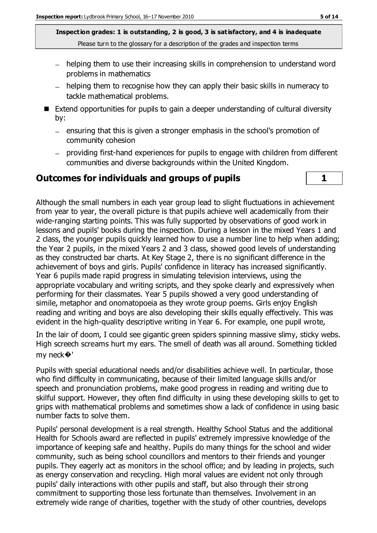- helping them to use their increasing skills in comprehension to understand word problems in mathematics
- helping them to recognise how they can apply their basic skills in numeracy to tackle mathematical problems.
- Extend opportunities for pupils to gain a deeper understanding of cultural diversity by:
	- $-$  ensuring that this is given a stronger emphasis in the school's promotion of community cohesion
	- providing first-hand experiences for pupils to engage with children from different communities and diverse backgrounds within the United Kingdom.

### **Outcomes for individuals and groups of pupils 1**



Although the small numbers in each year group lead to slight fluctuations in achievement from year to year, the overall picture is that pupils achieve well academically from their wide-ranging starting points. This was fully supported by observations of good work in lessons and pupils' books during the inspection. During a lesson in the mixed Years 1 and 2 class, the younger pupils quickly learned how to use a number line to help when adding; the Year 2 pupils, in the mixed Years 2 and 3 class, showed good levels of understanding as they constructed bar charts. At Key Stage 2, there is no significant difference in the achievement of boys and girls. Pupils' confidence in literacy has increased significantly. Year 6 pupils made rapid progress in simulating television interviews, using the appropriate vocabulary and writing scripts, and they spoke clearly and expressively when performing for their classmates. Year 5 pupils showed a very good understanding of simile, metaphor and onomatopoeia as they wrote group poems. Girls enjoy English reading and writing and boys are also developing their skills equally effectively. This was evident in the high-quality descriptive writing in Year 6. For example, one pupil wrote,

In the lair of doom, I could see gigantic green spiders spinning massive slimy, sticky webs. High screech screams hurt my ears. The smell of death was all around. Something tickled my neck�'

Pupils with special educational needs and/or disabilities achieve well. In particular, those who find difficulty in communicating, because of their limited language skills and/or speech and pronunciation problems, make good progress in reading and writing due to skilful support. However, they often find difficulty in using these developing skills to get to grips with mathematical problems and sometimes show a lack of confidence in using basic number facts to solve them.

Pupils' personal development is a real strength. Healthy School Status and the additional Health for Schools award are reflected in pupils' extremely impressive knowledge of the importance of keeping safe and healthy. Pupils do many things for the school and wider community, such as being school councillors and mentors to their friends and younger pupils. They eagerly act as monitors in the school office; and by leading in projects, such as energy conservation and recycling. High moral values are evident not only through pupils' daily interactions with other pupils and staff, but also through their strong commitment to supporting those less fortunate than themselves. Involvement in an extremely wide range of charities, together with the study of other countries, develops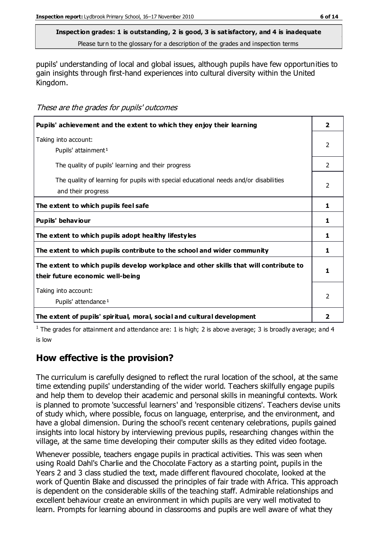pupils' understanding of local and global issues, although pupils have few opportunities to gain insights through first-hand experiences into cultural diversity within the United Kingdom.

These are the grades for pupils' outcomes

| Pupils' achievement and the extent to which they enjoy their learning                                                     | $\overline{\mathbf{2}}$ |
|---------------------------------------------------------------------------------------------------------------------------|-------------------------|
| Taking into account:<br>Pupils' attainment <sup>1</sup>                                                                   | $\mathfrak{p}$          |
| The quality of pupils' learning and their progress                                                                        | $\mathcal{L}$           |
| The quality of learning for pupils with special educational needs and/or disabilities<br>and their progress               | $\mathcal{P}$           |
| The extent to which pupils feel safe                                                                                      | 1                       |
| Pupils' behaviour                                                                                                         | 1                       |
| The extent to which pupils adopt healthy lifestyles                                                                       | 1                       |
| The extent to which pupils contribute to the school and wider community                                                   | 1                       |
| The extent to which pupils develop workplace and other skills that will contribute to<br>their future economic well-being | ъ                       |
| Taking into account:<br>Pupils' attendance <sup>1</sup>                                                                   | $\mathcal{P}$           |
| The extent of pupils' spiritual, moral, social and cultural development                                                   | $\overline{\mathbf{2}}$ |

<sup>1</sup> The grades for attainment and attendance are: 1 is high; 2 is above average; 3 is broadly average; and 4 is low

# **How effective is the provision?**

The curriculum is carefully designed to reflect the rural location of the school, at the same time extending pupils' understanding of the wider world. Teachers skilfully engage pupils and help them to develop their academic and personal skills in meaningful contexts. Work is planned to promote 'successful learners' and 'responsible citizens'. Teachers devise units of study which, where possible, focus on language, enterprise, and the environment, and have a global dimension. During the school's recent centenary celebrations, pupils gained insights into local history by interviewing previous pupils, researching changes within the village, at the same time developing their computer skills as they edited video footage.

Whenever possible, teachers engage pupils in practical activities. This was seen when using Roald Dahl's Charlie and the Chocolate Factory as a starting point, pupils in the Years 2 and 3 class studied the text, made different flavoured chocolate, looked at the work of Quentin Blake and discussed the principles of fair trade with Africa. This approach is dependent on the considerable skills of the teaching staff. Admirable relationships and excellent behaviour create an environment in which pupils are very well motivated to learn. Prompts for learning abound in classrooms and pupils are well aware of what they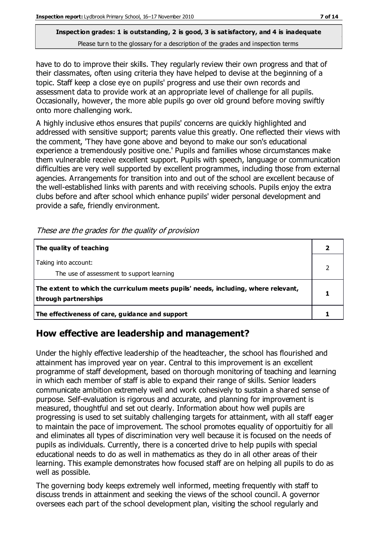have to do to improve their skills. They regularly review their own progress and that of their classmates, often using criteria they have helped to devise at the beginning of a topic. Staff keep a close eye on pupils' progress and use their own records and assessment data to provide work at an appropriate level of challenge for all pupils. Occasionally, however, the more able pupils go over old ground before moving swiftly onto more challenging work.

A highly inclusive ethos ensures that pupils' concerns are quickly highlighted and addressed with sensitive support; parents value this greatly. One reflected their views with the comment, 'They have gone above and beyond to make our son's educational experience a tremendously positive one.' Pupils and families whose circumstances make them vulnerable receive excellent support. Pupils with speech, language or communication difficulties are very well supported by excellent programmes, including those from external agencies. Arrangements for transition into and out of the school are excellent because of the well-established links with parents and with receiving schools. Pupils enjoy the extra clubs before and after school which enhance pupils' wider personal development and provide a safe, friendly environment.

| The quality of teaching                                                                                    |  |
|------------------------------------------------------------------------------------------------------------|--|
| Taking into account:<br>The use of assessment to support learning                                          |  |
| The extent to which the curriculum meets pupils' needs, including, where relevant,<br>through partnerships |  |
| The effectiveness of care, guidance and support                                                            |  |

These are the grades for the quality of provision

# **How effective are leadership and management?**

Under the highly effective leadership of the headteacher, the school has flourished and attainment has improved year on year. Central to this improvement is an excellent programme of staff development, based on thorough monitoring of teaching and learning in which each member of staff is able to expand their range of skills. Senior leaders communicate ambition extremely well and work cohesively to sustain a shared sense of purpose. Self-evaluation is rigorous and accurate, and planning for improvement is measured, thoughtful and set out clearly. Information about how well pupils are progressing is used to set suitably challenging targets for attainment, with all staff eager to maintain the pace of improvement. The school promotes equality of opportuitiy for all and eliminates all types of discrimination very well because it is focused on the needs of pupils as individuals. Currently, there is a concerted drive to help pupils with special educational needs to do as well in mathematics as they do in all other areas of their learning. This example demonstrates how focused staff are on helping all pupils to do as well as possible.

The governing body keeps extremely well informed, meeting frequently with staff to discuss trends in attainment and seeking the views of the school council. A governor oversees each part of the school development plan, visiting the school regularly and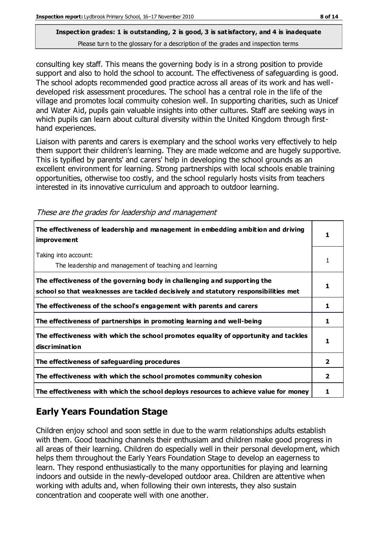consulting key staff. This means the governing body is in a strong position to provide support and also to hold the school to account. The effectiveness of safeguarding is good. The school adopts recommended good practice across all areas of its work and has welldeveloped risk assessment procedures. The school has a central role in the life of the village and promotes local commuity cohesion well. In supporting charities, such as Unicef and Water Aid, pupils gain valuable insights into other cultures. Staff are seeking ways in which pupils can learn about cultural diversity within the United Kingdom through firsthand experiences.

Liaison with parents and carers is exemplary and the school works very effectively to help them support their children's learning. They are made welcome and are hugely supportive. This is typified by parents' and carers' help in developing the school grounds as an excellent environment for learning. Strong partnerships with local schools enable training opportunities, otherwise too costly, and the school regularly hosts visits from teachers interested in its innovative curriculum and approach to outdoor learning.

| The effectiveness of leadership and management in embedding ambition and driving<br>improvement                                                                  |                |
|------------------------------------------------------------------------------------------------------------------------------------------------------------------|----------------|
| Taking into account:<br>The leadership and management of teaching and learning                                                                                   |                |
| The effectiveness of the governing body in challenging and supporting the<br>school so that weaknesses are tackled decisively and statutory responsibilities met | 1              |
| The effectiveness of the school's engagement with parents and carers                                                                                             | 1              |
| The effectiveness of partnerships in promoting learning and well-being                                                                                           | 1              |
| The effectiveness with which the school promotes equality of opportunity and tackles<br>discrimination                                                           | 1              |
| The effectiveness of safeguarding procedures                                                                                                                     | $\overline{2}$ |
| The effectiveness with which the school promotes community cohesion                                                                                              | $\overline{2}$ |
| The effectiveness with which the school deploys resources to achieve value for money                                                                             |                |

These are the grades for leadership and management

# **Early Years Foundation Stage**

Children enjoy school and soon settle in due to the warm relationships adults establish with them. Good teaching channels their enthusiam and children make good progress in all areas of their learning. Children do especially well in their personal development, which helps them throughout the Early Years Foundation Stage to develop an eagerness to learn. They respond enthusiastically to the many opportunities for playing and learning indoors and outside in the newly-developed outdoor area. Children are attentive when working with adults and, when following their own interests, they also sustain concentration and cooperate well with one another.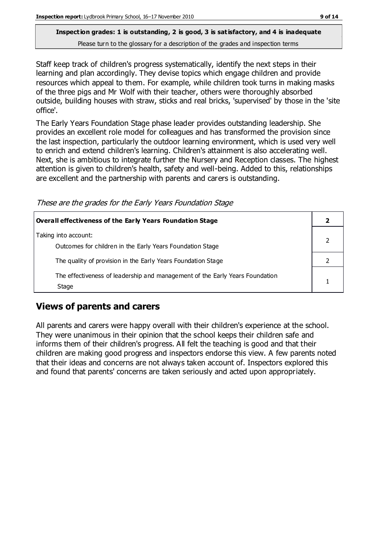Staff keep track of children's progress systematically, identify the next steps in their learning and plan accordingly. They devise topics which engage children and provide resources which appeal to them. For example, while children took turns in making masks of the three pigs and Mr Wolf with their teacher, others were thoroughly absorbed outside, building houses with straw, sticks and real bricks, 'supervised' by those in the 'site office'.

The Early Years Foundation Stage phase leader provides outstanding leadership. She provides an excellent role model for colleagues and has transformed the provision since the last inspection, particularly the outdoor learning environment, which is used very well to enrich and extend children's learning. Children's attainment is also accelerating well. Next, she is ambitious to integrate further the Nursery and Reception classes. The highest attention is given to children's health, safety and well-being. Added to this, relationships are excellent and the partnership with parents and carers is outstanding.

These are the grades for the Early Years Foundation Stage

| Overall effectiveness of the Early Years Foundation Stage                             |  |
|---------------------------------------------------------------------------------------|--|
| Taking into account:<br>Outcomes for children in the Early Years Foundation Stage     |  |
| The quality of provision in the Early Years Foundation Stage                          |  |
| The effectiveness of leadership and management of the Early Years Foundation<br>Stage |  |

# **Views of parents and carers**

All parents and carers were happy overall with their children's experience at the school. They were unanimous in their opinion that the school keeps their children safe and informs them of their children's progress. All felt the teaching is good and that their children are making good progress and inspectors endorse this view. A few parents noted that their ideas and concerns are not always taken account of. Inspectors explored this and found that parents' concerns are taken seriously and acted upon appropriately.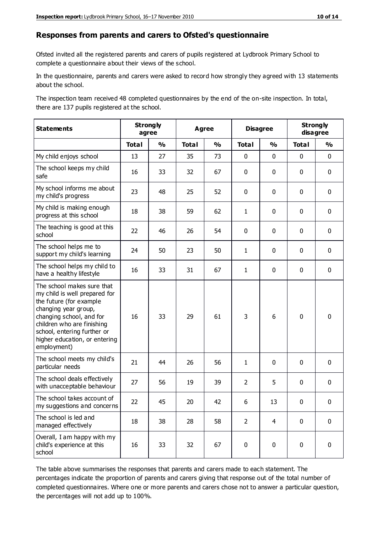#### **Responses from parents and carers to Ofsted's questionnaire**

Ofsted invited all the registered parents and carers of pupils registered at Lydbrook Primary School to complete a questionnaire about their views of the school.

In the questionnaire, parents and carers were asked to record how strongly they agreed with 13 statements about the school.

The inspection team received 48 completed questionnaires by the end of the on-site inspection. In total, there are 137 pupils registered at the school.

| <b>Statements</b>                                                                                                                                                                                                                                       | <b>Strongly</b><br>agree |               | <b>Agree</b> |               | <b>Disagree</b> |                | <b>Strongly</b><br>disagree |               |
|---------------------------------------------------------------------------------------------------------------------------------------------------------------------------------------------------------------------------------------------------------|--------------------------|---------------|--------------|---------------|-----------------|----------------|-----------------------------|---------------|
|                                                                                                                                                                                                                                                         | <b>Total</b>             | $\frac{0}{0}$ | <b>Total</b> | $\frac{0}{0}$ | <b>Total</b>    | $\frac{0}{0}$  | <b>Total</b>                | $\frac{0}{0}$ |
| My child enjoys school                                                                                                                                                                                                                                  | 13                       | 27            | 35           | 73            | 0               | $\mathbf 0$    | $\mathbf 0$                 | $\mathbf 0$   |
| The school keeps my child<br>safe                                                                                                                                                                                                                       | 16                       | 33            | 32           | 67            | 0               | 0              | $\mathbf 0$                 | $\mathbf 0$   |
| My school informs me about<br>my child's progress                                                                                                                                                                                                       | 23                       | 48            | 25           | 52            | 0               | $\mathbf 0$    | $\mathbf 0$                 | $\mathbf 0$   |
| My child is making enough<br>progress at this school                                                                                                                                                                                                    | 18                       | 38            | 59           | 62            | $\mathbf{1}$    | 0              | 0                           | $\mathbf 0$   |
| The teaching is good at this<br>school                                                                                                                                                                                                                  | 22                       | 46            | 26           | 54            | 0               | 0              | $\mathbf{0}$                | $\mathbf 0$   |
| The school helps me to<br>support my child's learning                                                                                                                                                                                                   | 24                       | 50            | 23           | 50            | 1               | 0              | 0                           | $\mathbf 0$   |
| The school helps my child to<br>have a healthy lifestyle                                                                                                                                                                                                | 16                       | 33            | 31           | 67            | 1               | 0              | $\mathbf 0$                 | $\mathbf 0$   |
| The school makes sure that<br>my child is well prepared for<br>the future (for example<br>changing year group,<br>changing school, and for<br>children who are finishing<br>school, entering further or<br>higher education, or entering<br>employment) | 16                       | 33            | 29           | 61            | 3               | 6              | $\mathbf 0$                 | $\mathbf 0$   |
| The school meets my child's<br>particular needs                                                                                                                                                                                                         | 21                       | 44            | 26           | 56            | 1               | 0              | $\mathbf 0$                 | $\mathbf 0$   |
| The school deals effectively<br>with unacceptable behaviour                                                                                                                                                                                             | 27                       | 56            | 19           | 39            | $\overline{2}$  | 5              | 0                           | $\pmb{0}$     |
| The school takes account of<br>my suggestions and concerns                                                                                                                                                                                              | 22                       | 45            | 20           | 42            | 6.              | 13             | $\Omega$                    | 0             |
| The school is led and<br>managed effectively                                                                                                                                                                                                            | 18                       | 38            | 28           | 58            | $\overline{2}$  | $\overline{4}$ | $\mathbf 0$                 | $\mathbf 0$   |
| Overall, I am happy with my<br>child's experience at this<br>school                                                                                                                                                                                     | 16                       | 33            | 32           | 67            | 0               | 0              | $\mathbf 0$                 | $\mathbf 0$   |

The table above summarises the responses that parents and carers made to each statement. The percentages indicate the proportion of parents and carers giving that response out of the total number of completed questionnaires. Where one or more parents and carers chose not to answer a particular question, the percentages will not add up to 100%.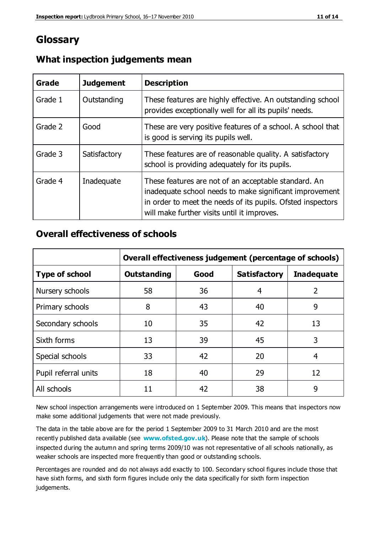# **Glossary**

| Grade   | <b>Judgement</b> | <b>Description</b>                                                                                                                                                                                                            |
|---------|------------------|-------------------------------------------------------------------------------------------------------------------------------------------------------------------------------------------------------------------------------|
| Grade 1 | Outstanding      | These features are highly effective. An outstanding school<br>provides exceptionally well for all its pupils' needs.                                                                                                          |
| Grade 2 | Good             | These are very positive features of a school. A school that<br>is good is serving its pupils well.                                                                                                                            |
| Grade 3 | Satisfactory     | These features are of reasonable quality. A satisfactory<br>school is providing adequately for its pupils.                                                                                                                    |
| Grade 4 | Inadequate       | These features are not of an acceptable standard. An<br>inadequate school needs to make significant improvement<br>in order to meet the needs of its pupils. Ofsted inspectors<br>will make further visits until it improves. |

## **What inspection judgements mean**

## **Overall effectiveness of schools**

|                       | Overall effectiveness judgement (percentage of schools) |      |                     |                   |
|-----------------------|---------------------------------------------------------|------|---------------------|-------------------|
| <b>Type of school</b> | <b>Outstanding</b>                                      | Good | <b>Satisfactory</b> | <b>Inadequate</b> |
| Nursery schools       | 58                                                      | 36   | 4                   | 2                 |
| Primary schools       | 8                                                       | 43   | 40                  | 9                 |
| Secondary schools     | 10                                                      | 35   | 42                  | 13                |
| Sixth forms           | 13                                                      | 39   | 45                  | 3                 |
| Special schools       | 33                                                      | 42   | 20                  | 4                 |
| Pupil referral units  | 18                                                      | 40   | 29                  | 12                |
| All schools           | 11                                                      | 42   | 38                  | 9                 |

New school inspection arrangements were introduced on 1 September 2009. This means that inspectors now make some additional judgements that were not made previously.

The data in the table above are for the period 1 September 2009 to 31 March 2010 and are the most recently published data available (see **[www.ofsted.gov.uk](http://www.ofsted.gov.uk/)**). Please note that the sample of schools inspected during the autumn and spring terms 2009/10 was not representative of all schools nationally, as weaker schools are inspected more frequently than good or outstanding schools.

Percentages are rounded and do not always add exactly to 100. Secondary school figures include those that have sixth forms, and sixth form figures include only the data specifically for sixth form inspection judgements.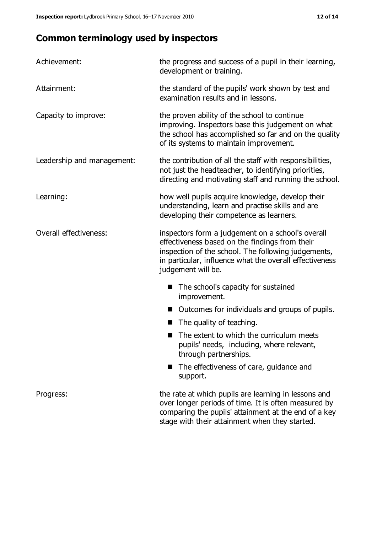# **Common terminology used by inspectors**

| Achievement:                  | the progress and success of a pupil in their learning,<br>development or training.                                                                                                                                                          |  |  |
|-------------------------------|---------------------------------------------------------------------------------------------------------------------------------------------------------------------------------------------------------------------------------------------|--|--|
| Attainment:                   | the standard of the pupils' work shown by test and<br>examination results and in lessons.                                                                                                                                                   |  |  |
| Capacity to improve:          | the proven ability of the school to continue<br>improving. Inspectors base this judgement on what<br>the school has accomplished so far and on the quality<br>of its systems to maintain improvement.                                       |  |  |
| Leadership and management:    | the contribution of all the staff with responsibilities,<br>not just the headteacher, to identifying priorities,<br>directing and motivating staff and running the school.                                                                  |  |  |
| Learning:                     | how well pupils acquire knowledge, develop their<br>understanding, learn and practise skills and are<br>developing their competence as learners.                                                                                            |  |  |
| <b>Overall effectiveness:</b> | inspectors form a judgement on a school's overall<br>effectiveness based on the findings from their<br>inspection of the school. The following judgements,<br>in particular, influence what the overall effectiveness<br>judgement will be. |  |  |
|                               | The school's capacity for sustained<br>improvement.                                                                                                                                                                                         |  |  |
|                               | Outcomes for individuals and groups of pupils.                                                                                                                                                                                              |  |  |
|                               | The quality of teaching.                                                                                                                                                                                                                    |  |  |
|                               | The extent to which the curriculum meets<br>pupils' needs, including, where relevant,<br>through partnerships.                                                                                                                              |  |  |
|                               | The effectiveness of care, guidance and<br>support.                                                                                                                                                                                         |  |  |
| Progress:                     | the rate at which pupils are learning in lessons and<br>over longer periods of time. It is often measured by<br>comparing the pupils' attainment at the end of a key                                                                        |  |  |

stage with their attainment when they started.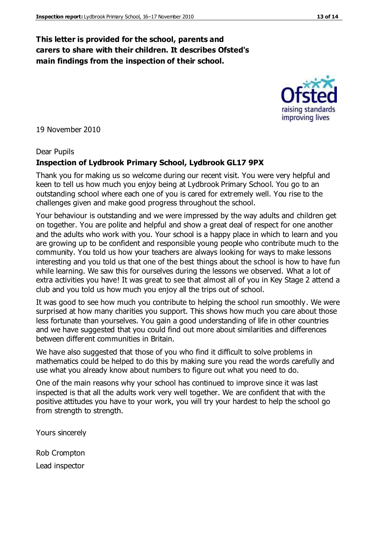## **This letter is provided for the school, parents and carers to share with their children. It describes Ofsted's main findings from the inspection of their school.**

19 November 2010

#### Dear Pupils

### **Inspection of Lydbrook Primary School, Lydbrook GL17 9PX**

Thank you for making us so welcome during our recent visit. You were very helpful and keen to tell us how much you enjoy being at Lydbrook Primary School. You go to an outstanding school where each one of you is cared for extremely well. You rise to the challenges given and make good progress throughout the school.

Your behaviour is outstanding and we were impressed by the way adults and children get on together. You are polite and helpful and show a great deal of respect for one another and the adults who work with you. Your school is a happy place in which to learn and you are growing up to be confident and responsible young people who contribute much to the community. You told us how your teachers are always looking for ways to make lessons interesting and you told us that one of the best things about the school is how to have fun while learning. We saw this for ourselves during the lessons we observed. What a lot of extra activities you have! It was great to see that almost all of you in Key Stage 2 attend a club and you told us how much you enjoy all the trips out of school.

It was good to see how much you contribute to helping the school run smoothly. We were surprised at how many charities you support. This shows how much you care about those less fortunate than yourselves. You gain a good understanding of life in other countries and we have suggested that you could find out more about similarities and differences between different communities in Britain.

We have also suggested that those of you who find it difficult to solve problems in mathematics could be helped to do this by making sure you read the words carefully and use what you already know about numbers to figure out what you need to do.

One of the main reasons why your school has continued to improve since it was last inspected is that all the adults work very well together. We are confident that with the positive attitudes you have to your work, you will try your hardest to help the school go from strength to strength.

Yours sincerely

Rob Crompton Lead inspector



raising standards improving lives